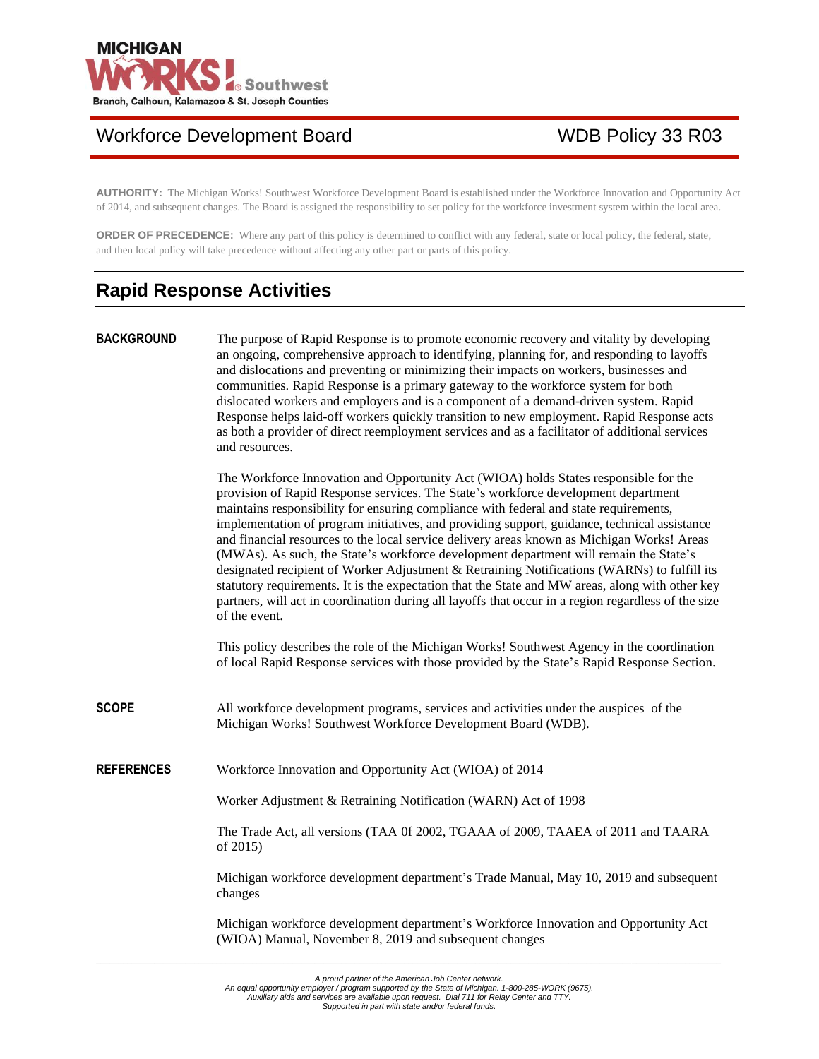

# Workforce Development Board WDB Policy 33 R03

**AUTHORITY:** The Michigan Works! Southwest Workforce Development Board is established under the Workforce Innovation and Opportunity Act of 2014, and subsequent changes. The Board is assigned the responsibility to set policy for the workforce investment system within the local area.

**ORDER OF PRECEDENCE:** Where any part of this policy is determined to conflict with any federal, state or local policy, the federal, state, and then local policy will take precedence without affecting any other part or parts of this policy.

# **Rapid Response Activities**

**BACKGROUND** The purpose of Rapid Response is to promote economic recovery and vitality by developing an ongoing, comprehensive approach to identifying, planning for, and responding to layoffs and dislocations and preventing or minimizing their impacts on workers, businesses and communities. Rapid Response is a primary gateway to the workforce system for both dislocated workers and employers and is a component of a demand-driven system. Rapid Response helps laid-off workers quickly transition to new employment. Rapid Response acts as both a provider of direct reemployment services and as a facilitator of additional services and resources.

> The Workforce Innovation and Opportunity Act (WIOA) holds States responsible for the provision of Rapid Response services. The State's workforce development department maintains responsibility for ensuring compliance with federal and state requirements, implementation of program initiatives, and providing support, guidance, technical assistance and financial resources to the local service delivery areas known as Michigan Works! Areas (MWAs). As such, the State's workforce development department will remain the State's designated recipient of Worker Adjustment & Retraining Notifications (WARNs) to fulfill its statutory requirements. It is the expectation that the State and MW areas, along with other key partners, will act in coordination during all layoffs that occur in a region regardless of the size of the event.

> This policy describes the role of the Michigan Works! Southwest Agency in the coordination of local Rapid Response services with those provided by the State's Rapid Response Section.

- **SCOPE** All workforce development programs, services and activities under the auspices of the Michigan Works! Southwest Workforce Development Board (WDB).
- **REFERENCES** Workforce Innovation and Opportunity Act (WIOA) of 2014

Worker Adjustment & Retraining Notification (WARN) Act of 1998

The Trade Act, all versions (TAA 0f 2002, TGAAA of 2009, TAAEA of 2011 and TAARA of 2015)

Michigan workforce development department's Trade Manual, May 10, 2019 and subsequent changes

Michigan workforce development department's Workforce Innovation and Opportunity Act (WIOA) Manual, November 8, 2019 and subsequent changes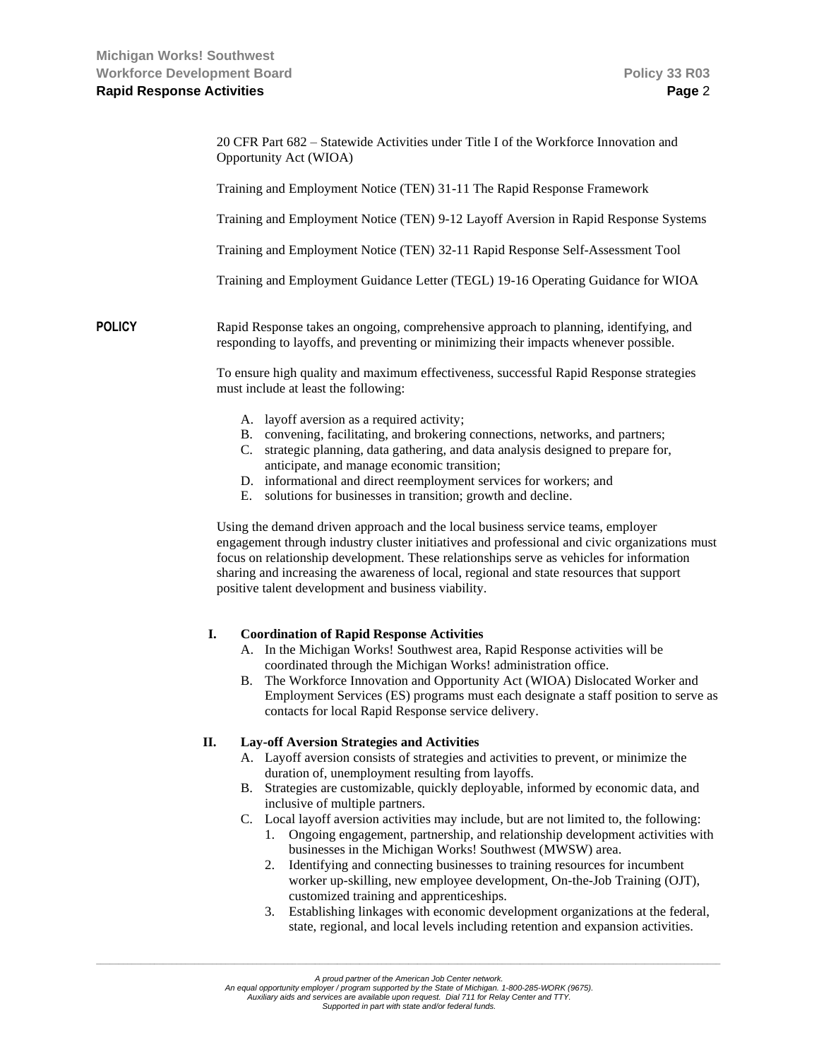|               | 20 CFR Part 682 - Statewide Activities under Title I of the Workforce Innovation and<br>Opportunity Act (WIOA)                                                                                                                                                                                                                                                                                                                  |  |  |
|---------------|---------------------------------------------------------------------------------------------------------------------------------------------------------------------------------------------------------------------------------------------------------------------------------------------------------------------------------------------------------------------------------------------------------------------------------|--|--|
|               | Training and Employment Notice (TEN) 31-11 The Rapid Response Framework                                                                                                                                                                                                                                                                                                                                                         |  |  |
|               | Training and Employment Notice (TEN) 9-12 Layoff Aversion in Rapid Response Systems                                                                                                                                                                                                                                                                                                                                             |  |  |
|               | Training and Employment Notice (TEN) 32-11 Rapid Response Self-Assessment Tool                                                                                                                                                                                                                                                                                                                                                  |  |  |
|               | Training and Employment Guidance Letter (TEGL) 19-16 Operating Guidance for WIOA                                                                                                                                                                                                                                                                                                                                                |  |  |
| <b>POLICY</b> | Rapid Response takes an ongoing, comprehensive approach to planning, identifying, and<br>responding to layoffs, and preventing or minimizing their impacts whenever possible.                                                                                                                                                                                                                                                   |  |  |
|               | To ensure high quality and maximum effectiveness, successful Rapid Response strategies<br>must include at least the following:                                                                                                                                                                                                                                                                                                  |  |  |
|               | A. layoff aversion as a required activity;<br>B. convening, facilitating, and brokering connections, networks, and partners;<br>strategic planning, data gathering, and data analysis designed to prepare for,<br>C.<br>anticipate, and manage economic transition;<br>D. informational and direct reemployment services for workers; and<br>E. solutions for businesses in transition; growth and decline.                     |  |  |
|               | Using the demand driven approach and the local business service teams, employer<br>engagement through industry cluster initiatives and professional and civic organizations must<br>focus on relationship development. These relationships serve as vehicles for information<br>sharing and increasing the awareness of local, regional and state resources that support<br>positive talent development and business viability. |  |  |
|               | I.<br><b>Coordination of Rapid Response Activities</b><br>A. In the Michigan Works! Southwest area, Rapid Response activities will be<br>coordinated through the Michigan Works! administration office.<br>$\mathbf{D}$ The Workforce Innovation and Opportunity A of (WIOA) Dislocated Worker and                                                                                                                              |  |  |

B. The Workforce Innovation and Opportunity Act (WIOA) Dislocated Worker and Employment Services (ES) programs must each designate a staff position to serve as contacts for local Rapid Response service delivery.

#### **II. Lay-off Aversion Strategies and Activities**

- A. Layoff aversion consists of strategies and activities to prevent, or minimize the duration of, unemployment resulting from layoffs.
- B. Strategies are customizable, quickly deployable, informed by economic data, and inclusive of multiple partners.
- C. Local layoff aversion activities may include, but are not limited to, the following:
	- 1. Ongoing engagement, partnership, and relationship development activities with businesses in the Michigan Works! Southwest (MWSW) area.
	- 2. Identifying and connecting businesses to training resources for incumbent worker up-skilling, new employee development, On-the-Job Training (OJT), customized training and apprenticeships.
	- 3. Establishing linkages with economic development organizations at the federal, state, regional, and local levels including retention and expansion activities.

An equal opportunity employer / program supported by the State of Michigan. 1-800-285-WORK (9675).<br>Auxiliary aids and services are available upon request. Dial 711 for Relay Center and TTY.

*Supported in part with state and/or federal funds.*

*A proud partner of the American Job Center network.*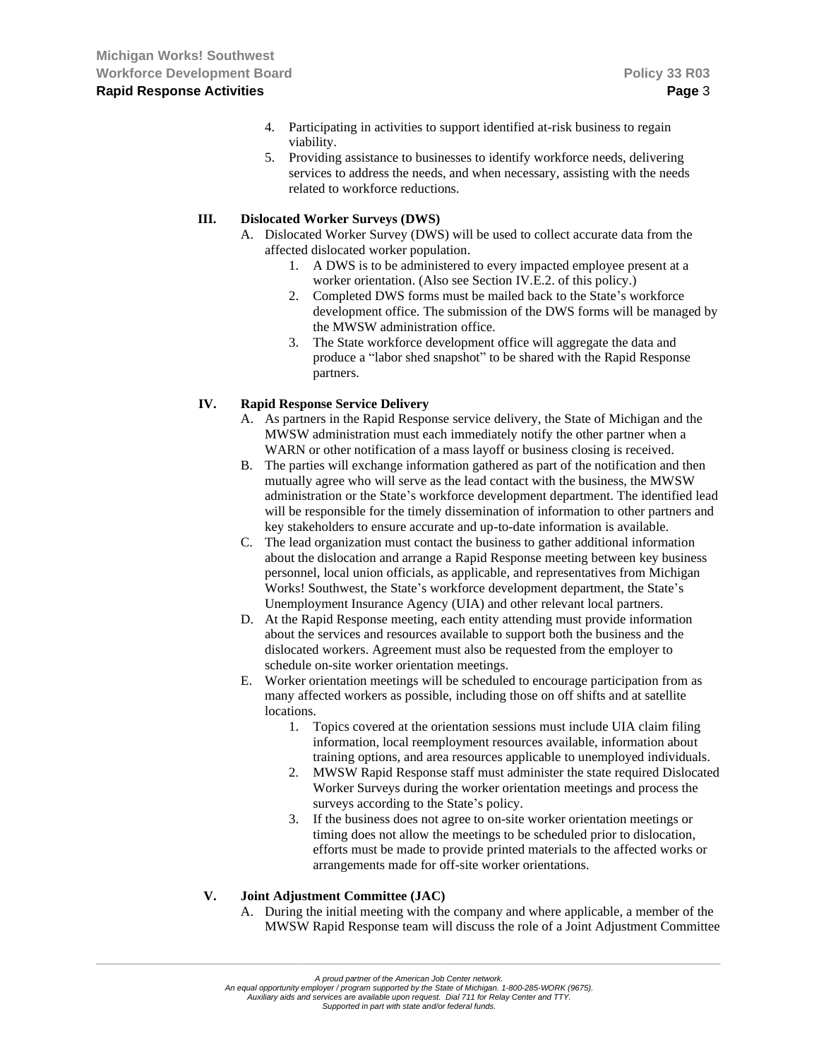- 4. Participating in activities to support identified at-risk business to regain viability.
- 5. Providing assistance to businesses to identify workforce needs, delivering services to address the needs, and when necessary, assisting with the needs related to workforce reductions.

#### **III. Dislocated Worker Surveys (DWS)**

- A. Dislocated Worker Survey (DWS) will be used to collect accurate data from the affected dislocated worker population.
	- 1. A DWS is to be administered to every impacted employee present at a worker orientation. (Also see Section IV.E.2. of this policy.)
	- 2. Completed DWS forms must be mailed back to the State's workforce development office. The submission of the DWS forms will be managed by the MWSW administration office.
	- 3. The State workforce development office will aggregate the data and produce a "labor shed snapshot" to be shared with the Rapid Response partners.

### **IV. Rapid Response Service Delivery**

- A. As partners in the Rapid Response service delivery, the State of Michigan and the MWSW administration must each immediately notify the other partner when a WARN or other notification of a mass layoff or business closing is received.
- B. The parties will exchange information gathered as part of the notification and then mutually agree who will serve as the lead contact with the business, the MWSW administration or the State's workforce development department. The identified lead will be responsible for the timely dissemination of information to other partners and key stakeholders to ensure accurate and up-to-date information is available.
- C. The lead organization must contact the business to gather additional information about the dislocation and arrange a Rapid Response meeting between key business personnel, local union officials, as applicable, and representatives from Michigan Works! Southwest, the State's workforce development department, the State's Unemployment Insurance Agency (UIA) and other relevant local partners.
- D. At the Rapid Response meeting, each entity attending must provide information about the services and resources available to support both the business and the dislocated workers. Agreement must also be requested from the employer to schedule on-site worker orientation meetings.
- E. Worker orientation meetings will be scheduled to encourage participation from as many affected workers as possible, including those on off shifts and at satellite locations.
	- 1. Topics covered at the orientation sessions must include UIA claim filing information, local reemployment resources available, information about training options, and area resources applicable to unemployed individuals.
	- 2. MWSW Rapid Response staff must administer the state required Dislocated Worker Surveys during the worker orientation meetings and process the surveys according to the State's policy.
	- 3. If the business does not agree to on-site worker orientation meetings or timing does not allow the meetings to be scheduled prior to dislocation, efforts must be made to provide printed materials to the affected works or arrangements made for off-site worker orientations.

#### **V. Joint Adjustment Committee (JAC)**

A. During the initial meeting with the company and where applicable, a member of the MWSW Rapid Response team will discuss the role of a Joint Adjustment Committee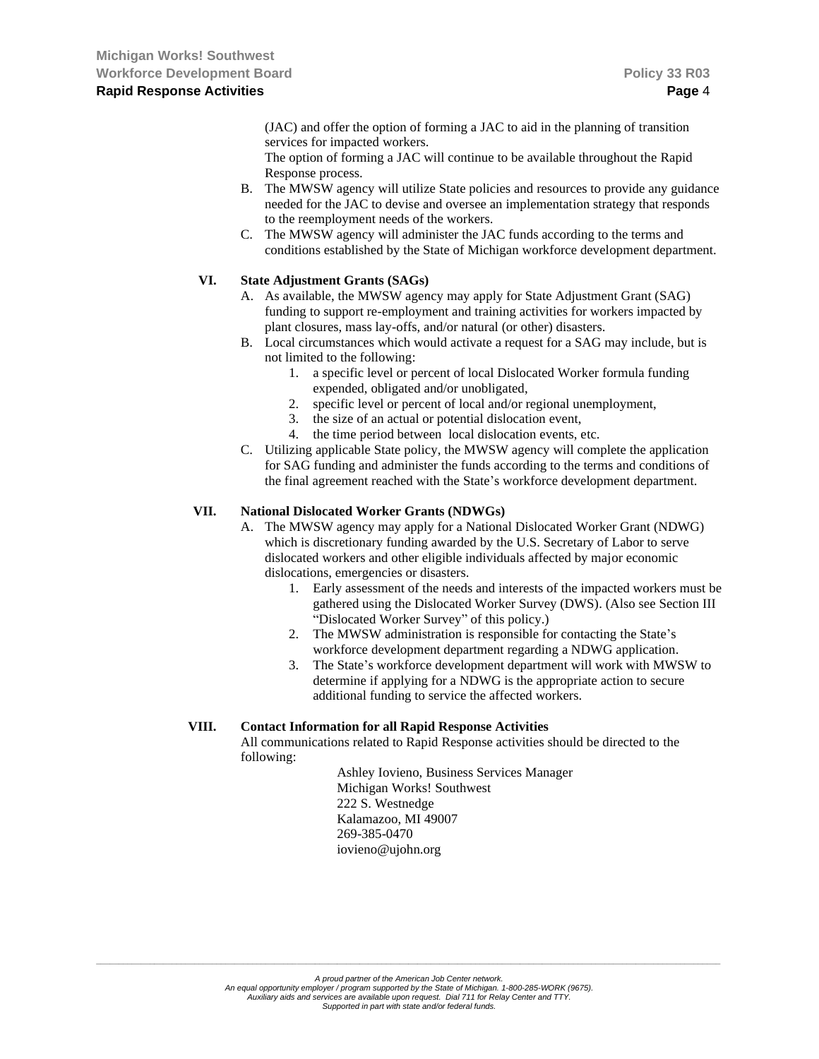(JAC) and offer the option of forming a JAC to aid in the planning of transition services for impacted workers.

The option of forming a JAC will continue to be available throughout the Rapid Response process.

- B. The MWSW agency will utilize State policies and resources to provide any guidance needed for the JAC to devise and oversee an implementation strategy that responds to the reemployment needs of the workers.
- C. The MWSW agency will administer the JAC funds according to the terms and conditions established by the State of Michigan workforce development department.

### **VI. State Adjustment Grants (SAGs)**

- A. As available, the MWSW agency may apply for State Adjustment Grant (SAG) funding to support re-employment and training activities for workers impacted by plant closures, mass lay-offs, and/or natural (or other) disasters.
- B. Local circumstances which would activate a request for a SAG may include, but is not limited to the following:
	- 1. a specific level or percent of local Dislocated Worker formula funding expended, obligated and/or unobligated,
	- 2. specific level or percent of local and/or regional unemployment,
	- 3. the size of an actual or potential dislocation event,
	- 4. the time period between local dislocation events, etc.
- C. Utilizing applicable State policy, the MWSW agency will complete the application for SAG funding and administer the funds according to the terms and conditions of the final agreement reached with the State's workforce development department.

#### **VII. National Dislocated Worker Grants (NDWGs)**

- A. The MWSW agency may apply for a National Dislocated Worker Grant (NDWG) which is discretionary funding awarded by the U.S. Secretary of Labor to serve dislocated workers and other eligible individuals affected by major economic dislocations, emergencies or disasters.
	- 1. Early assessment of the needs and interests of the impacted workers must be gathered using the Dislocated Worker Survey (DWS). (Also see Section III "Dislocated Worker Survey" of this policy.)
	- 2. The MWSW administration is responsible for contacting the State's workforce development department regarding a NDWG application.
	- 3. The State's workforce development department will work with MWSW to determine if applying for a NDWG is the appropriate action to secure additional funding to service the affected workers.

#### **VIII. Contact Information for all Rapid Response Activities**

All communications related to Rapid Response activities should be directed to the following:

> Ashley Iovieno, Business Services Manager Michigan Works! Southwest 222 S. Westnedge Kalamazoo, MI 49007 269-385-0470 iovieno@ujohn.org